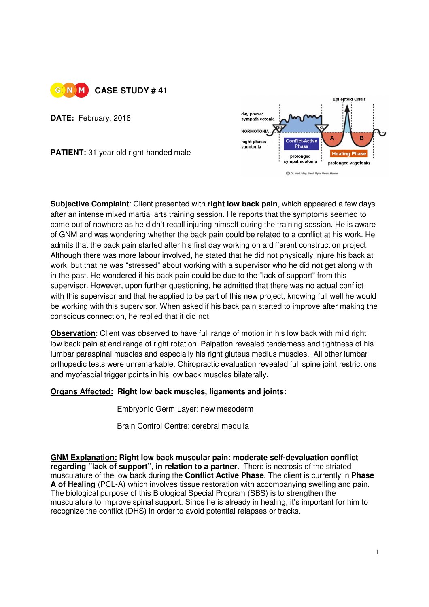

**DATE:** February, 2016

**PATIENT:** 31 year old right-handed male



**Subjective Complaint**: Client presented with **right low back pain**, which appeared a few days after an intense mixed martial arts training session. He reports that the symptoms seemed to come out of nowhere as he didn't recall injuring himself during the training session. He is aware of GNM and was wondering whether the back pain could be related to a conflict at his work. He admits that the back pain started after his first day working on a different construction project. Although there was more labour involved, he stated that he did not physically injure his back at work, but that he was "stressed" about working with a supervisor who he did not get along with in the past. He wondered if his back pain could be due to the "lack of support" from this supervisor. However, upon further questioning, he admitted that there was no actual conflict with this supervisor and that he applied to be part of this new project, knowing full well he would be working with this supervisor. When asked if his back pain started to improve after making the conscious connection, he replied that it did not.

**Observation**: Client was observed to have full range of motion in his low back with mild right low back pain at end range of right rotation. Palpation revealed tenderness and tightness of his lumbar paraspinal muscles and especially his right gluteus medius muscles. All other lumbar orthopedic tests were unremarkable. Chiropractic evaluation revealed full spine joint restrictions and myofascial trigger points in his low back muscles bilaterally.

## **Organs Affected: Right low back muscles, ligaments and joints:**

**Embryonic Germ Layer: new mesoderm** 

Brain Control Centre: cerebral medulla

**GNM Explanation: Right low back muscular pain: moderate self-devaluation conflict regarding "lack of support", in relation to a partner.** There is necrosis of the striated musculature of the low back during the **Conflict Active Phase**. The client is currently in **Phase A of Healing** (PCL-A) which involves tissue restoration with accompanying swelling and pain. The biological purpose of this Biological Special Program (SBS) is to strengthen the musculature to improve spinal support. Since he is already in healing, it's important for him to recognize the conflict (DHS) in order to avoid potential relapses or tracks.